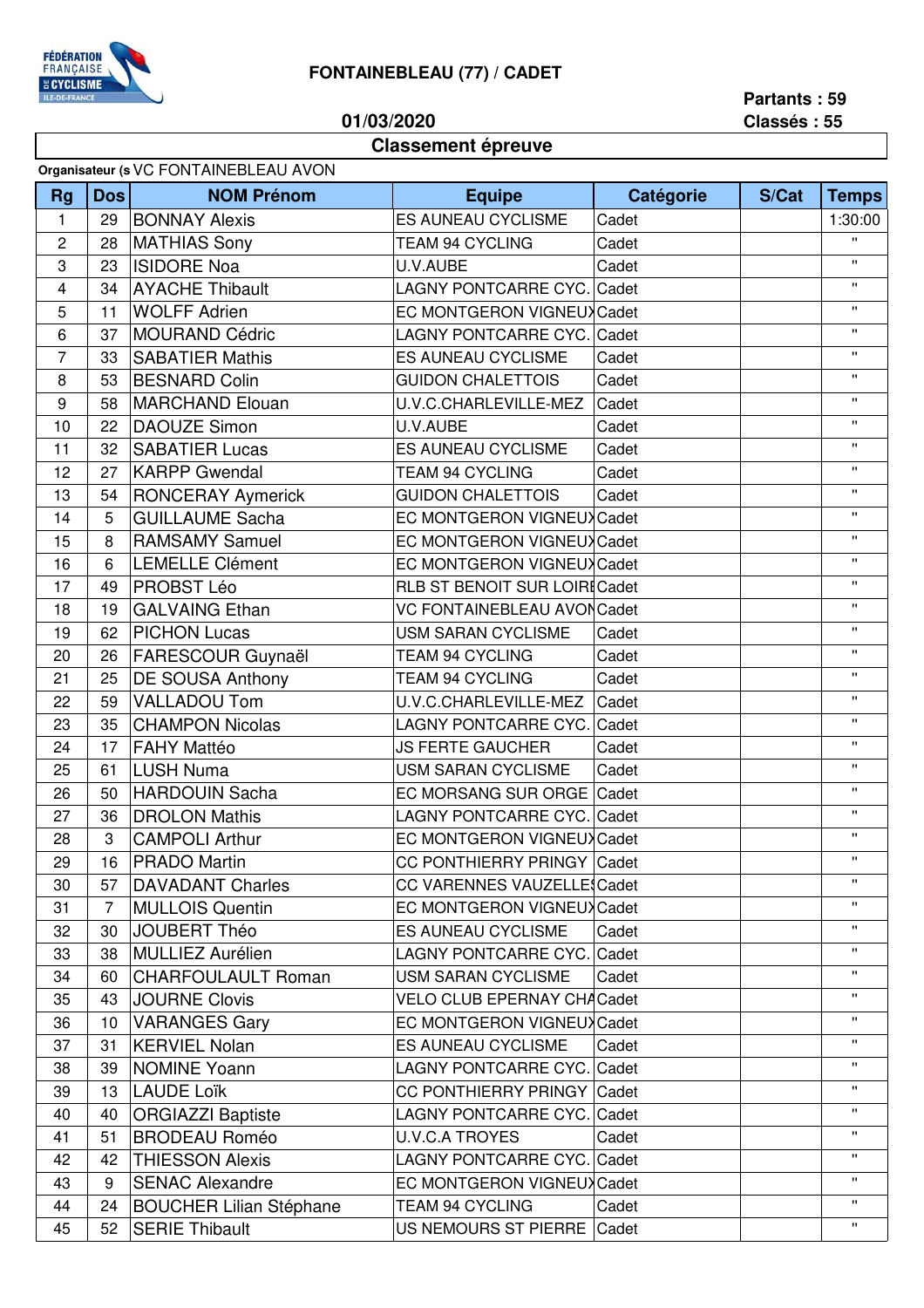

## **FONTAINEBLEAU (77) / CADET**

**01/03/2020**

**Partants : 59 Classés : 55**

## **Classement épreuve**

| Organisateur (s VC FONTAINEBLEAU AVON |                 |                                |                                      |           |       |              |  |
|---------------------------------------|-----------------|--------------------------------|--------------------------------------|-----------|-------|--------------|--|
| <b>Rg</b>                             | <b>Dos</b>      | <b>NOM Prénom</b>              | <b>Equipe</b>                        | Catégorie | S/Cat | <b>Temps</b> |  |
| $\mathbf{1}$                          | 29              | <b>BONNAY Alexis</b>           | <b>ES AUNEAU CYCLISME</b><br>Cadet   |           |       | 1:30:00      |  |
| $\overline{2}$                        | 28              | <b>MATHIAS Sony</b>            | TEAM 94 CYCLING                      | Cadet     |       | $\mathbf{u}$ |  |
| 3                                     | 23              | <b>ISIDORE Noa</b>             | U.V.AUBE<br>Cadet                    |           |       | $\mathbf{H}$ |  |
| 4                                     | 34              | <b>AYACHE Thibault</b>         | LAGNY PONTCARRE CYC. Cadet           |           |       | $\mathbf{H}$ |  |
| 5                                     | 11              | <b>WOLFF Adrien</b>            | EC MONTGERON VIGNEUX Cadet           |           |       | $\mathbf{H}$ |  |
| 6                                     | 37              | <b>MOURAND Cédric</b>          | LAGNY PONTCARRE CYC. Cadet           |           |       | $\mathbf{H}$ |  |
| $\overline{7}$                        | 33              | <b>SABATIER Mathis</b>         | <b>ES AUNEAU CYCLISME</b>            | Cadet     |       | $\mathbf{H}$ |  |
| 8                                     | 53              | <b>BESNARD Colin</b>           | <b>GUIDON CHALETTOIS</b><br>Cadet    |           |       | $\mathbf{H}$ |  |
| 9                                     | 58              | <b>MARCHAND Elouan</b>         | U.V.C.CHARLEVILLE-MEZ<br>Cadet       |           |       | $\mathbf{H}$ |  |
| 10                                    | 22              | <b>DAOUZE Simon</b>            | U.V.AUBE<br>Cadet                    |           |       | $\mathbf{H}$ |  |
| 11                                    | 32              | <b>SABATIER Lucas</b>          | <b>ES AUNEAU CYCLISME</b>            | Cadet     |       | $\mathbf{H}$ |  |
| 12                                    | 27              | <b>KARPP Gwendal</b>           | TEAM 94 CYCLING<br>Cadet             |           |       | u.           |  |
| 13                                    | 54              | <b>RONCERAY Aymerick</b>       | <b>GUIDON CHALETTOIS</b><br>Cadet    |           |       | $\mathbf{H}$ |  |
| 14                                    | 5               | <b>GUILLAUME Sacha</b>         | EC MONTGERON VIGNEUX Cadet           |           |       | $\mathbf{H}$ |  |
| 15                                    | 8               | <b>RAMSAMY Samuel</b>          | EC MONTGERON VIGNEUX Cadet           |           |       | $\mathbf{H}$ |  |
| 16                                    | 6               | <b>LEMELLE Clément</b>         | EC MONTGERON VIGNEUX Cadet           |           |       | $\mathbf{H}$ |  |
| 17                                    | 49              | PROBST Léo                     | <b>RLB ST BENOIT SUR LOIRI Cadet</b> |           |       | $\mathbf{H}$ |  |
| 18                                    | 19              | <b>GALVAING Ethan</b>          | <b>VC FONTAINEBLEAU AVON Cadet</b>   |           |       | Ħ.           |  |
| 19                                    | 62              | <b>PICHON Lucas</b>            | <b>USM SARAN CYCLISME</b>            | Cadet     |       | $\mathbf{H}$ |  |
| 20                                    | 26              | FARESCOUR Guynaël              | TEAM 94 CYCLING                      | Cadet     |       | $\mathbf{H}$ |  |
| 21                                    | 25              | <b>DE SOUSA Anthony</b>        | TEAM 94 CYCLING                      | Cadet     |       | $\mathbf{H}$ |  |
| 22                                    | 59              | <b>VALLADOU Tom</b>            | U.V.C.CHARLEVILLE-MEZ                | Cadet     |       | $\mathbf{H}$ |  |
| 23                                    | 35              | <b>CHAMPON Nicolas</b>         | LAGNY PONTCARRE CYC. Cadet           |           |       | $\mathbf{H}$ |  |
| 24                                    | 17              | <b>FAHY Mattéo</b>             | <b>JS FERTE GAUCHER</b>              | Cadet     |       | $\mathbf{H}$ |  |
| 25                                    | 61              | <b>LUSH Numa</b>               | <b>USM SARAN CYCLISME</b>            | Cadet     |       | $\mathbf{H}$ |  |
| 26                                    | 50              | <b>HARDOUIN Sacha</b>          | EC MORSANG SUR ORGE Cadet            |           |       | $\mathbf{H}$ |  |
| 27                                    | 36              | <b>DROLON Mathis</b>           | LAGNY PONTCARRE CYC. Cadet           |           |       | $\mathbf{H}$ |  |
| 28                                    | 3               | <b>CAMPOLI Arthur</b>          | EC MONTGERON VIGNEUX Cadet           |           |       | $\mathbf{H}$ |  |
| 29                                    | 16              | <b>PRADO Martin</b>            | CC PONTHIERRY PRINGY Cadet           |           |       | $\mathbf{H}$ |  |
| 30                                    | 57              | <b>DAVADANT Charles</b>        | <b>CC VARENNES VAUZELLE Cadet</b>    |           |       | Ħ.           |  |
| 31                                    | $\overline{7}$  | <b>MULLOIS Quentin</b>         | EC MONTGERON VIGNEUX Cadet           |           |       | Ħ.           |  |
| 32                                    | 30              | JOUBERT Théo                   | ES AUNEAU CYCLISME                   | Cadet     |       | π.           |  |
| 33                                    | 38              | MULLIEZ Aurélien               | LAGNY PONTCARRE CYC. Cadet           |           |       | $\mathbf{H}$ |  |
| 34                                    | 60              | <b>CHARFOULAULT Roman</b>      | <b>USM SARAN CYCLISME</b>            | Cadet     |       | $\mathbf{H}$ |  |
| 35                                    | 43              | <b>JOURNE Clovis</b>           | <b>VELO CLUB EPERNAY CHA Cadet</b>   |           |       | $\mathbf{H}$ |  |
| 36                                    | 10 <sup>°</sup> | <b>VARANGES Gary</b>           | EC MONTGERON VIGNEUX Cadet           |           |       | $\mathbf{H}$ |  |
| 37                                    | 31              | <b>KERVIEL Nolan</b>           | ES AUNEAU CYCLISME                   | Cadet     |       | π.           |  |
| 38                                    | 39              | <b>NOMINE Yoann</b>            | LAGNY PONTCARRE CYC. Cadet           |           |       | π.           |  |
| 39                                    | 13              | <b>LAUDE Loïk</b>              | CC PONTHIERRY PRINGY Cadet           |           |       | π.           |  |
| 40                                    | 40              | <b>ORGIAZZI Baptiste</b>       | LAGNY PONTCARRE CYC. Cadet           |           |       | π.           |  |
| 41                                    | 51              | <b>BRODEAU Roméo</b>           | <b>U.V.C.A TROYES</b>                | Cadet     |       | π.           |  |
| 42                                    | 42              | <b>THIESSON Alexis</b>         | LAGNY PONTCARRE CYC. Cadet           |           |       | π.           |  |
| 43                                    | 9               | <b>SENAC Alexandre</b>         | EC MONTGERON VIGNEUX Cadet           |           |       | π.           |  |
| 44                                    | 24              | <b>BOUCHER Lilian Stéphane</b> | TEAM 94 CYCLING                      | Cadet     |       | $\mathbf{H}$ |  |
| 45                                    | 52              | <b>SERIE Thibault</b>          | US NEMOURS ST PIERRE Cadet           |           |       | π.           |  |